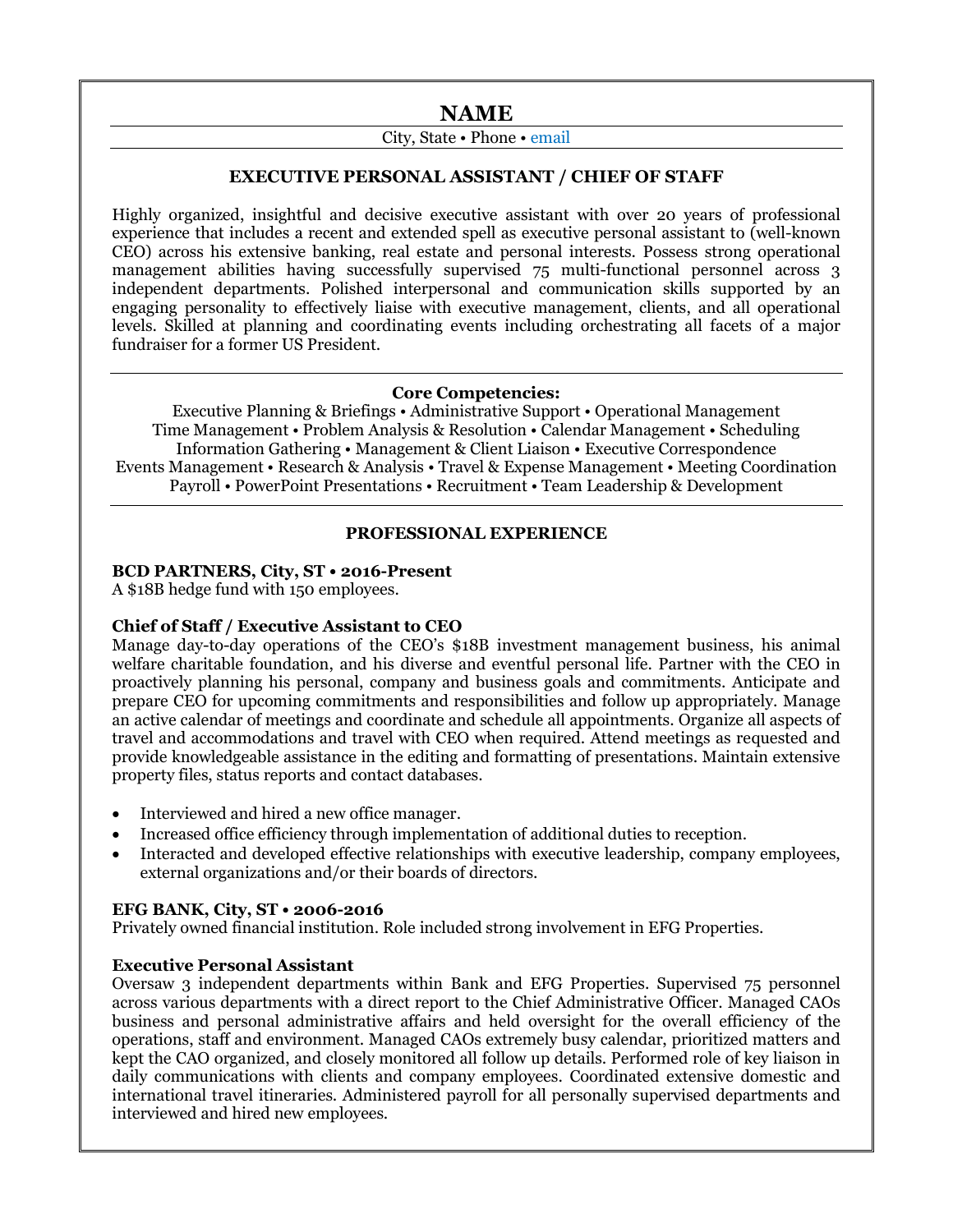# **NAME**

# City, State • Phone • email

### **EXECUTIVE PERSONAL ASSISTANT / CHIEF OF STAFF**

Highly organized, insightful and decisive executive assistant with over 20 years of professional experience that includes a recent and extended spell as executive personal assistant to (well-known CEO) across his extensive banking, real estate and personal interests. Possess strong operational management abilities having successfully supervised 75 multi-functional personnel across 3 independent departments. Polished interpersonal and communication skills supported by an engaging personality to effectively liaise with executive management, clients, and all operational levels. Skilled at planning and coordinating events including orchestrating all facets of a major fundraiser for a former US President.

### **Core Competencies:**

Executive Planning & Briefings • Administrative Support • Operational Management Time Management • Problem Analysis & Resolution • Calendar Management • Scheduling Information Gathering • Management & Client Liaison • Executive Correspondence Events Management • Research & Analysis • Travel & Expense Management • Meeting Coordination Payroll • PowerPoint Presentations • Recruitment • Team Leadership & Development

### **PROFESSIONAL EXPERIENCE**

### **BCD PARTNERS, City, ST • 2016-Present**

A \$18B hedge fund with 150 employees.

### **Chief of Staff / Executive Assistant to CEO**

Manage day-to-day operations of the CEO's \$18B investment management business, his animal welfare charitable foundation, and his diverse and eventful personal life. Partner with the CEO in proactively planning his personal, company and business goals and commitments. Anticipate and prepare CEO for upcoming commitments and responsibilities and follow up appropriately. Manage an active calendar of meetings and coordinate and schedule all appointments. Organize all aspects of travel and accommodations and travel with CEO when required. Attend meetings as requested and provide knowledgeable assistance in the editing and formatting of presentations. Maintain extensive property files, status reports and contact databases.

- Interviewed and hired a new office manager.
- Increased office efficiency through implementation of additional duties to reception.
- Interacted and developed effective relationships with executive leadership, company employees, external organizations and/or their boards of directors.

### **EFG BANK, City, ST • 2006-2016**

Privately owned financial institution. Role included strong involvement in EFG Properties.

# **Executive Personal Assistant**

Oversaw 3 independent departments within Bank and EFG Properties. Supervised 75 personnel across various departments with a direct report to the Chief Administrative Officer. Managed CAOs business and personal administrative affairs and held oversight for the overall efficiency of the operations, staff and environment. Managed CAOs extremely busy calendar, prioritized matters and kept the CAO organized, and closely monitored all follow up details. Performed role of key liaison in daily communications with clients and company employees. Coordinated extensive domestic and international travel itineraries. Administered payroll for all personally supervised departments and interviewed and hired new employees.